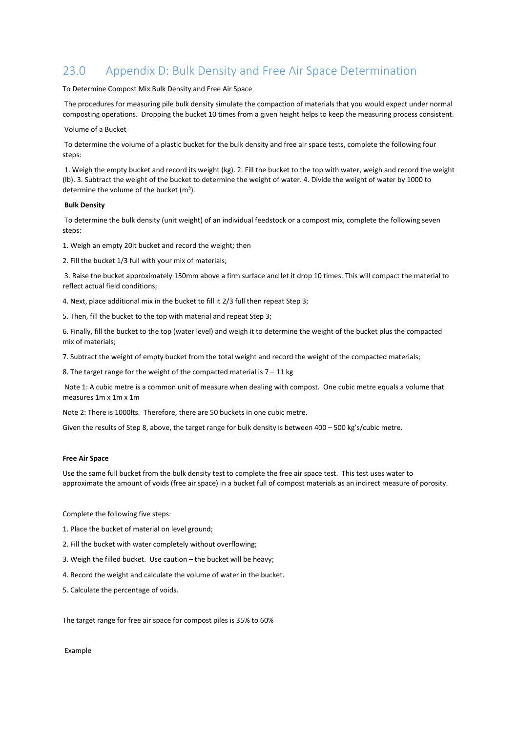# 23.0 Appendix D: Bulk Density and Free Air Space Determination

## To Determine Compost Mix Bulk Density and Free Air Space

The procedures for measuring pile bulk density simulate the compaction of materials that you would expect under normal composting operations. Dropping the bucket 10 times from a given height helps to keep the measuring process consistent.

## Volume of a Bucket

To determine the volume of a plastic bucket for the bulk density and free air space tests, complete the following four steps:

1. Weigh the empty bucket and record its weight (kg). 2. Fill the bucket to the top with water, weigh and record the weight (lb). 3. Subtract the weight of the bucket to determine the weight of water. 4. Divide the weight of water by 1000 to determine the volume of the bucket  $(m<sup>3</sup>)$ .

## **Bulk Density**

To determine the bulk density (unit weight) of an individual feedstock or a compost mix, complete the following seven steps:

1. Weigh an empty 20lt bucket and record the weight; then

2. Fill the bucket 1/3 full with your mix of materials;

3. Raise the bucket approximately 150mm above a firm surface and let it drop 10 times. This will compact the material to reflect actual field conditions;

4. Next, place additional mix in the bucket to fill it 2/3 full then repeat Step 3;

5. Then, fill the bucket to the top with material and repeat Step 3;

6. Finally, fill the bucket to the top (water level) and weigh it to determine the weight of the bucket plus the compacted mix of materials;

7. Subtract the weight of empty bucket from the total weight and record the weight of the compacted materials;

8. The target range for the weight of the compacted material is  $7 - 11$  kg

Note 1: A cubic metre is a common unit of measure when dealing with compost. One cubic metre equals a volume that measures 1m x 1m x 1m

Note 2: There is 1000lts. Therefore, there are 50 buckets in one cubic metre.

Given the results of Step 8, above, the target range for bulk density is between 400 – 500 kg's/cubic metre.

## **Free Air Space**

Use the same full bucket from the bulk density test to complete the free air space test. This test uses water to approximate the amount of voids (free air space) in a bucket full of compost materials as an indirect measure of porosity.

Complete the following five steps:

- 1. Place the bucket of material on level ground;
- 2. Fill the bucket with water completely without overflowing;
- 3. Weigh the filled bucket. Use caution the bucket will be heavy;
- 4. Record the weight and calculate the volume of water in the bucket.
- 5. Calculate the percentage of voids.

The target range for free air space for compost piles is 35% to 60%

Example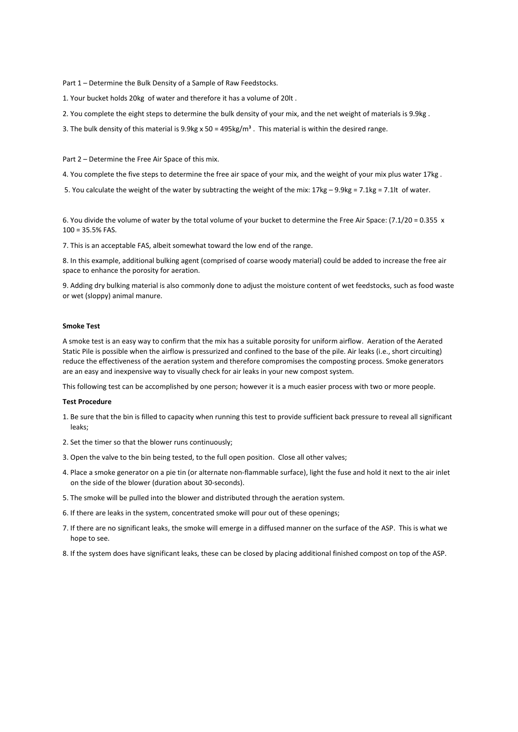Part 1 – Determine the Bulk Density of a Sample of Raw Feedstocks.

1. Your bucket holds 20kg of water and therefore it has a volume of 20lt .

- 2. You complete the eight steps to determine the bulk density of your mix, and the net weight of materials is 9.9kg .
- 3. The bulk density of this material is 9.9kg x 50 = 495kg/m<sup>3</sup>. This material is within the desired range.

Part 2 – Determine the Free Air Space of this mix.

4. You complete the five steps to determine the free air space of your mix, and the weight of your mix plus water 17kg .

5. You calculate the weight of the water by subtracting the weight of the mix: 17kg – 9.9kg = 7.1kg = 7.1lt of water.

6. You divide the volume of water by the total volume of your bucket to determine the Free Air Space: (7.1/20 = 0.355 x 100 = 35.5% FAS.

7. This is an acceptable FAS, albeit somewhat toward the low end of the range.

8. In this example, additional bulking agent (comprised of coarse woody material) could be added to increase the free air space to enhance the porosity for aeration.

9. Adding dry bulking material is also commonly done to adjust the moisture content of wet feedstocks, such as food waste or wet (sloppy) animal manure.

### **Smoke Test**

A smoke test is an easy way to confirm that the mix has a suitable porosity for uniform airflow. Aeration of the Aerated Static Pile is possible when the airflow is pressurized and confined to the base of the pile. Air leaks (i.e., short circuiting) reduce the effectiveness of the aeration system and therefore compromises the composting process. Smoke generators are an easy and inexpensive way to visually check for air leaks in your new compost system.

This following test can be accomplished by one person; however it is a much easier process with two or more people.

#### **Test Procedure**

- 1. Be sure that the bin is filled to capacity when running this test to provide sufficient back pressure to reveal all significant leaks;
- 2. Set the timer so that the blower runs continuously;
- 3. Open the valve to the bin being tested, to the full open position. Close all other valves;
- 4. Place a smoke generator on a pie tin (or alternate non-flammable surface), light the fuse and hold it next to the air inlet on the side of the blower (duration about 30-seconds).
- 5. The smoke will be pulled into the blower and distributed through the aeration system.
- 6. If there are leaks in the system, concentrated smoke will pour out of these openings;
- 7. If there are no significant leaks, the smoke will emerge in a diffused manner on the surface of the ASP. This is what we hope to see.
- 8. If the system does have significant leaks, these can be closed by placing additional finished compost on top of the ASP.